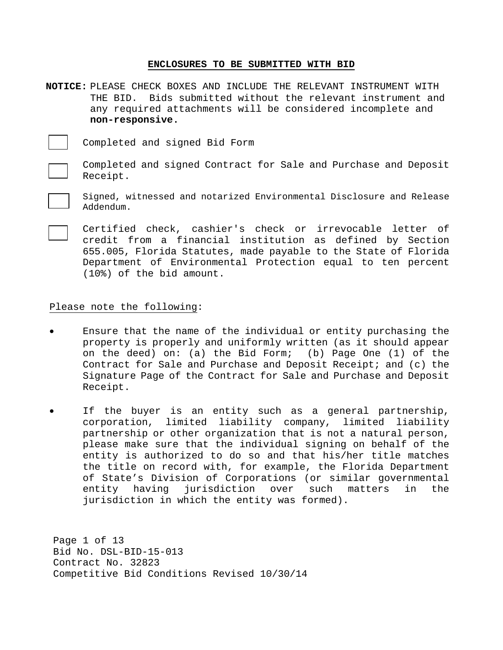# **ENCLOSURES TO BE SUBMITTED WITH BID**

**NOTICE:** PLEASE CHECK BOXES AND INCLUDE THE RELEVANT INSTRUMENT WITH THE BID. Bids submitted without the relevant instrument and any required attachments will be considered incomplete and **non-responsive.**

Completed and signed Bid Form

Completed and signed Contract for Sale and Purchase and Deposit Receipt.

Signed, witnessed and notarized Environmental Disclosure and Release Addendum.

Certified check, cashier's check or irrevocable letter of credit from a financial institution as defined by Section 655.005, Florida Statutes, made payable to the State of Florida Department of Environmental Protection equal to ten percent (10%) of the bid amount.

# Please note the following:

- Ensure that the name of the individual or entity purchasing the property is properly and uniformly written (as it should appear on the deed) on: (a) the Bid Form; (b) Page One (1) of the Contract for Sale and Purchase and Deposit Receipt; and (c) the Signature Page of the Contract for Sale and Purchase and Deposit Receipt.
- If the buyer is an entity such as a general partnership, corporation, limited liability company, limited liability partnership or other organization that is not a natural person, please make sure that the individual signing on behalf of the entity is authorized to do so and that his/her title matches the title on record with, for example, the Florida Department of State's Division of Corporations (or similar governmental entity having jurisdiction over such matters in the jurisdiction in which the entity was formed).

Page 1 of 13 Bid No. DSL-BID-15-013 Contract No. 32823 Competitive Bid Conditions Revised 10/30/14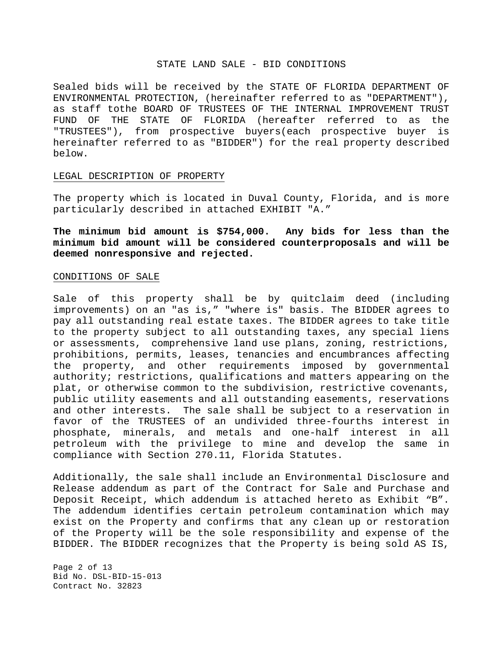#### STATE LAND SALE - BID CONDITIONS

Sealed bids will be received by the STATE OF FLORIDA DEPARTMENT OF ENVIRONMENTAL PROTECTION, (hereinafter referred to as "DEPARTMENT"), as staff tothe BOARD OF TRUSTEES OF THE INTERNAL IMPROVEMENT TRUST FUND OF THE STATE OF FLORIDA (hereafter referred to as the "TRUSTEES"), from prospective buyers(each prospective buyer is hereinafter referred to as "BIDDER") for the real property described below.

### LEGAL DESCRIPTION OF PROPERTY

The property which is located in Duval County, Florida, and is more particularly described in attached EXHIBIT "A."

**The minimum bid amount is \$754,000. Any bids for less than the minimum bid amount will be considered counterproposals and will be deemed nonresponsive and rejected.**

### CONDITIONS OF SALE

Sale of this property shall be by quitclaim deed (including improvements) on an "as is," "where is" basis. The BIDDER agrees to pay all outstanding real estate taxes. The BIDDER agrees to take title to the property subject to all outstanding taxes, any special liens or assessments, comprehensive land use plans, zoning, restrictions, prohibitions, permits, leases, tenancies and encumbrances affecting the property, and other requirements imposed by governmental authority; restrictions, qualifications and matters appearing on the plat, or otherwise common to the subdivision, restrictive covenants, public utility easements and all outstanding easements, reservations and other interests. The sale shall be subject to a reservation in favor of the TRUSTEES of an undivided three-fourths interest in phosphate, minerals, and metals and one-half interest in all petroleum with the privilege to mine and develop the same in compliance with Section 270.11, Florida Statutes.

Additionally, the sale shall include an Environmental Disclosure and Release addendum as part of the Contract for Sale and Purchase and Deposit Receipt, which addendum is attached hereto as Exhibit "B". The addendum identifies certain petroleum contamination which may exist on the Property and confirms that any clean up or restoration of the Property will be the sole responsibility and expense of the BIDDER. The BIDDER recognizes that the Property is being sold AS IS,

Page 2 of 13 Bid No. DSL-BID-15-013 Contract No. 32823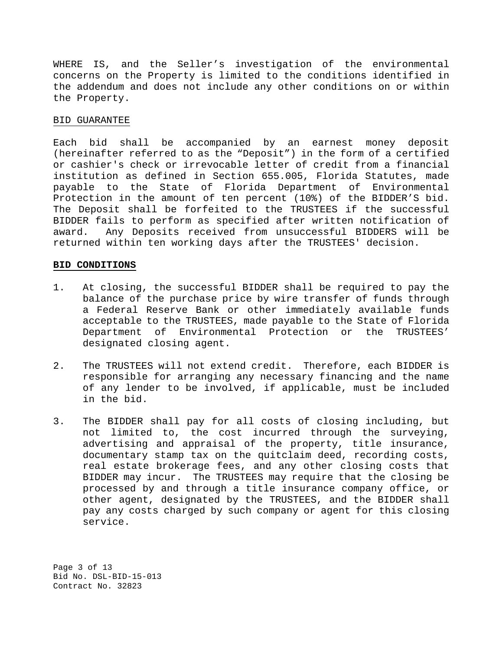WHERE IS, and the Seller's investigation of the environmental concerns on the Property is limited to the conditions identified in the addendum and does not include any other conditions on or within the Property.

# BID GUARANTEE

Each bid shall be accompanied by an earnest money deposit (hereinafter referred to as the "Deposit") in the form of a certified or cashier's check or irrevocable letter of credit from a financial institution as defined in Section 655.005, Florida Statutes, made payable to the State of Florida Department of Environmental Protection in the amount of ten percent (10%) of the BIDDER'S bid. The Deposit shall be forfeited to the TRUSTEES if the successful BIDDER fails to perform as specified after written notification of award. Any Deposits received from unsuccessful BIDDERS will be returned within ten working days after the TRUSTEES' decision.

# **BID CONDITIONS**

- 1. At closing, the successful BIDDER shall be required to pay the balance of the purchase price by wire transfer of funds through a Federal Reserve Bank or other immediately available funds acceptable to the TRUSTEES, made payable to the State of Florida Department of Environmental Protection or the TRUSTEES' designated closing agent.
- 2. The TRUSTEES will not extend credit. Therefore, each BIDDER is responsible for arranging any necessary financing and the name of any lender to be involved, if applicable, must be included in the bid.
- 3. The BIDDER shall pay for all costs of closing including, but not limited to, the cost incurred through the surveying, advertising and appraisal of the property, title insurance, documentary stamp tax on the quitclaim deed, recording costs, real estate brokerage fees, and any other closing costs that BIDDER may incur. The TRUSTEES may require that the closing be processed by and through a title insurance company office, or other agent, designated by the TRUSTEES, and the BIDDER shall pay any costs charged by such company or agent for this closing service.

Page 3 of 13 Bid No. DSL-BID-15-013 Contract No. 32823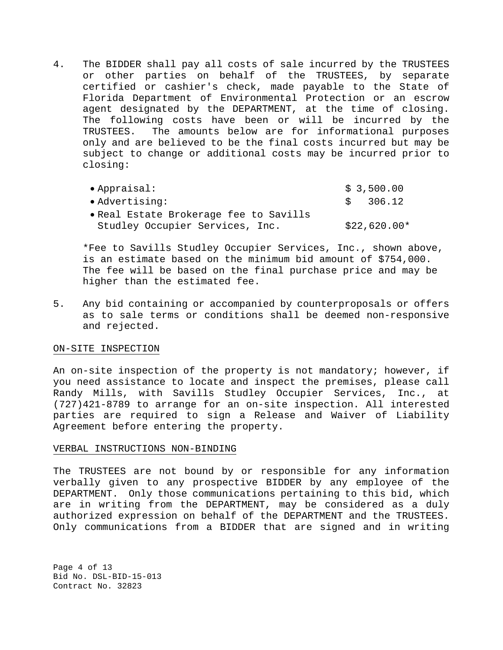4. The BIDDER shall pay all costs of sale incurred by the TRUSTEES or other parties on behalf of the TRUSTEES, by separate certified or cashier's check, made payable to the State of Florida Department of Environmental Protection or an escrow agent designated by the DEPARTMENT, at the time of closing. The following costs have been or will be incurred by the TRUSTEES. The amounts below are for informational purposes only and are believed to be the final costs incurred but may be subject to change or additional costs may be incurred prior to closing:

| $\bullet$ Appraisal:                   | \$3,500.00   |
|----------------------------------------|--------------|
| • Advertising:                         | \$ 306.12    |
| • Real Estate Brokerage fee to Savills |              |
| Studley Occupier Services, Inc.        | \$22,620.00* |

\*Fee to Savills Studley Occupier Services, Inc., shown above, is an estimate based on the minimum bid amount of \$754,000. The fee will be based on the final purchase price and may be higher than the estimated fee.

5. Any bid containing or accompanied by counterproposals or offers as to sale terms or conditions shall be deemed non-responsive and rejected.

## ON-SITE INSPECTION

An on-site inspection of the property is not mandatory; however, if you need assistance to locate and inspect the premises, please call Randy Mills, with Savills Studley Occupier Services, Inc., at (727)421-8789 to arrange for an on-site inspection. All interested parties are required to sign a Release and Waiver of Liability Agreement before entering the property.

## VERBAL INSTRUCTIONS NON-BINDING

The TRUSTEES are not bound by or responsible for any information verbally given to any prospective BIDDER by any employee of the DEPARTMENT. Only those communications pertaining to this bid, which are in writing from the DEPARTMENT, may be considered as a duly authorized expression on behalf of the DEPARTMENT and the TRUSTEES. Only communications from a BIDDER that are signed and in writing

Page 4 of 13 Bid No. DSL-BID-15-013 Contract No. 32823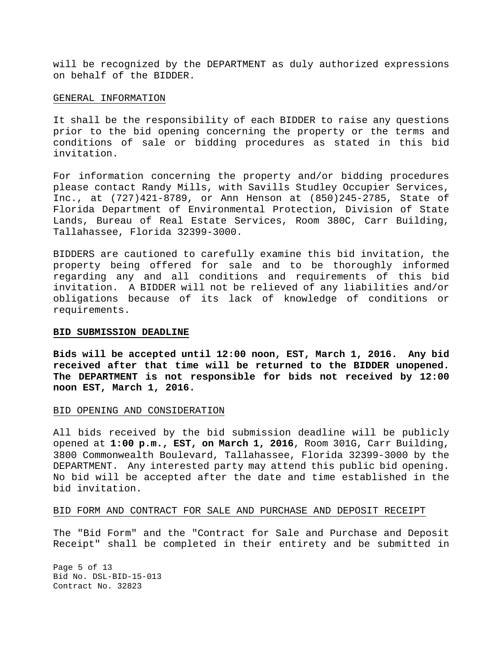will be recognized by the DEPARTMENT as duly authorized expressions on behalf of the BIDDER.

### GENERAL INFORMATION

It shall be the responsibility of each BIDDER to raise any questions prior to the bid opening concerning the property or the terms and conditions of sale or bidding procedures as stated in this bid invitation.

For information concerning the property and/or bidding procedures please contact Randy Mills, with Savills Studley Occupier Services, Inc., at (727)421-8789, or Ann Henson at (850)245-2785, State of Florida Department of Environmental Protection, Division of State Lands, Bureau of Real Estate Services, Room 380C, Carr Building, Tallahassee, Florida 32399-3000.

BIDDERS are cautioned to carefully examine this bid invitation, the property being offered for sale and to be thoroughly informed regarding any and all conditions and requirements of this bid invitation. A BIDDER will not be relieved of any liabilities and/or obligations because of its lack of knowledge of conditions or requirements.

## **BID SUBMISSION DEADLINE**

**Bids will be accepted until 12:00 noon, EST, March 1, 2016. Any bid received after that time will be returned to the BIDDER unopened. The DEPARTMENT is not responsible for bids not received by 12:00 noon EST, March 1, 2016.**

## BID OPENING AND CONSIDERATION

All bids received by the bid submission deadline will be publicly opened at **1:00 p.m., EST, on March 1, 2016**, Room 301G, Carr Building, 3800 Commonwealth Boulevard, Tallahassee, Florida 32399-3000 by the DEPARTMENT. Any interested party may attend this public bid opening. No bid will be accepted after the date and time established in the bid invitation.

# BID FORM AND CONTRACT FOR SALE AND PURCHASE AND DEPOSIT RECEIPT

The "Bid Form" and the "Contract for Sale and Purchase and Deposit Receipt" shall be completed in their entirety and be submitted in

Page 5 of 13 Bid No. DSL-BID-15-013 Contract No. 32823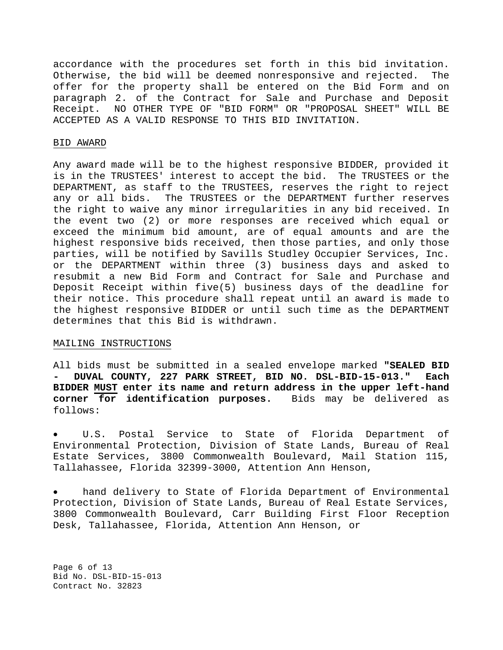accordance with the procedures set forth in this bid invitation. Otherwise, the bid will be deemed nonresponsive and rejected. The offer for the property shall be entered on the Bid Form and on paragraph 2. of the Contract for Sale and Purchase and Deposit Receipt. NO OTHER TYPE OF "BID FORM" OR "PROPOSAL SHEET" WILL BE ACCEPTED AS A VALID RESPONSE TO THIS BID INVITATION.

## BID AWARD

Any award made will be to the highest responsive BIDDER, provided it is in the TRUSTEES' interest to accept the bid. The TRUSTEES or the DEPARTMENT, as staff to the TRUSTEES, reserves the right to reject any or all bids. The TRUSTEES or the DEPARTMENT further reserves the right to waive any minor irregularities in any bid received. In the event two (2) or more responses are received which equal or exceed the minimum bid amount, are of equal amounts and are the highest responsive bids received, then those parties, and only those parties, will be notified by Savills Studley Occupier Services, Inc. or the DEPARTMENT within three (3) business days and asked to resubmit a new Bid Form and Contract for Sale and Purchase and Deposit Receipt within five(5) business days of the deadline for their notice. This procedure shall repeat until an award is made to the highest responsive BIDDER or until such time as the DEPARTMENT determines that this Bid is withdrawn.

#### MAILING INSTRUCTIONS

All bids must be submitted in a sealed envelope marked **"SEALED BID - DUVAL COUNTY, 227 PARK STREET, BID NO. DSL-BID-15-013." Each BIDDER MUST enter its name and return address in the upper left-hand corner for identification purposes.** Bids may be delivered as follows:

U.S. Postal Service to State of Florida Department of Environmental Protection, Division of State Lands, Bureau of Real Estate Services, 3800 Commonwealth Boulevard, Mail Station 115, Tallahassee, Florida 32399-3000, Attention Ann Henson,

hand delivery to State of Florida Department of Environmental Protection, Division of State Lands, Bureau of Real Estate Services, 3800 Commonwealth Boulevard, Carr Building First Floor Reception Desk, Tallahassee, Florida, Attention Ann Henson, or

Page 6 of 13 Bid No. DSL-BID-15-013 Contract No. 32823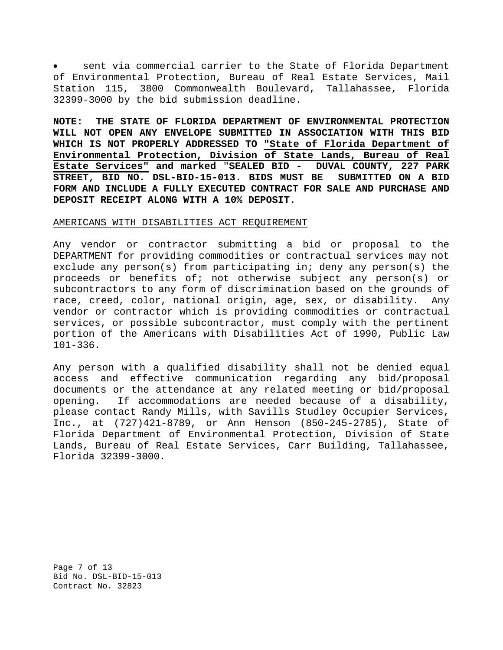sent via commercial carrier to the State of Florida Department of Environmental Protection, Bureau of Real Estate Services, Mail Station 115, 3800 Commonwealth Boulevard, Tallahassee, Florida 32399-3000 by the bid submission deadline.

**NOTE: THE STATE OF FLORIDA DEPARTMENT OF ENVIRONMENTAL PROTECTION WILL NOT OPEN ANY ENVELOPE SUBMITTED IN ASSOCIATION WITH THIS BID WHICH IS NOT PROPERLY ADDRESSED TO "State of Florida Department of Environmental Protection, Division of State Lands, Bureau of Real Estate Services" and marked** "**SEALED BID - DUVAL COUNTY, 227 PARK**  STREET, BID NO. DSL-BID-15-013. BIDS MUST BE **FORM AND INCLUDE A FULLY EXECUTED CONTRACT FOR SALE AND PURCHASE AND DEPOSIT RECEIPT ALONG WITH A 10% DEPOSIT.**

#### AMERICANS WITH DISABILITIES ACT REQUIREMENT

Any vendor or contractor submitting a bid or proposal to the DEPARTMENT for providing commodities or contractual services may not exclude any person(s) from participating in; deny any person(s) the proceeds or benefits of; not otherwise subject any person(s) or subcontractors to any form of discrimination based on the grounds of race, creed, color, national origin, age, sex, or disability. Any vendor or contractor which is providing commodities or contractual services, or possible subcontractor, must comply with the pertinent portion of the Americans with Disabilities Act of 1990, Public Law 101-336.

Any person with a qualified disability shall not be denied equal access and effective communication regarding any bid/proposal documents or the attendance at any related meeting or bid/proposal opening. If accommodations are needed because of a disability, please contact Randy Mills, with Savills Studley Occupier Services, Inc., at (727)421-8789, or Ann Henson (850-245-2785), State of Florida Department of Environmental Protection, Division of State Lands, Bureau of Real Estate Services, Carr Building, Tallahassee, Florida 32399-3000.

Page 7 of 13 Bid No. DSL-BID-15-013 Contract No. 32823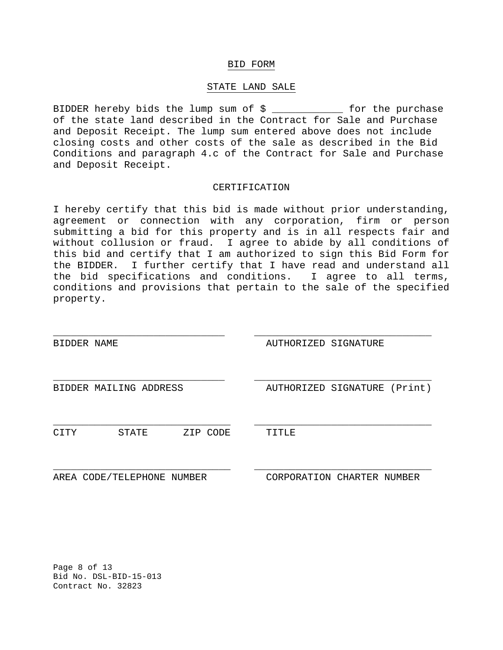### BID FORM

### STATE LAND SALE

BIDDER hereby bids the lump sum of \$ \_\_\_\_\_\_\_\_\_\_\_\_ for the purchase of the state land described in the Contract for Sale and Purchase and Deposit Receipt. The lump sum entered above does not include closing costs and other costs of the sale as described in the Bid Conditions and paragraph 4.c of the Contract for Sale and Purchase and Deposit Receipt.

# CERTIFICATION

I hereby certify that this bid is made without prior understanding, agreement or connection with any corporation, firm or person submitting a bid for this property and is in all respects fair and without collusion or fraud. I agree to abide by all conditions of this bid and certify that I am authorized to sign this Bid Form for the BIDDER. I further certify that I have read and understand all the bid specifications and conditions. I agree to all terms, conditions and provisions that pertain to the sale of the specified property.

| BIDDER NAME |                            |          | AUTHORIZED SIGNATURE         |  |
|-------------|----------------------------|----------|------------------------------|--|
|             |                            |          |                              |  |
|             | BIDDER MAILING ADDRESS     |          | AUTHORIZED SIGNATURE (Print) |  |
|             |                            |          |                              |  |
| CITY        | STATE                      | ZIP CODE | TITLE                        |  |
|             |                            |          |                              |  |
|             | AREA CODE/TELEPHONE NUMBER |          | CORPORATION CHARTER NUMBER   |  |

Page 8 of 13 Bid No. DSL-BID-15-013 Contract No. 32823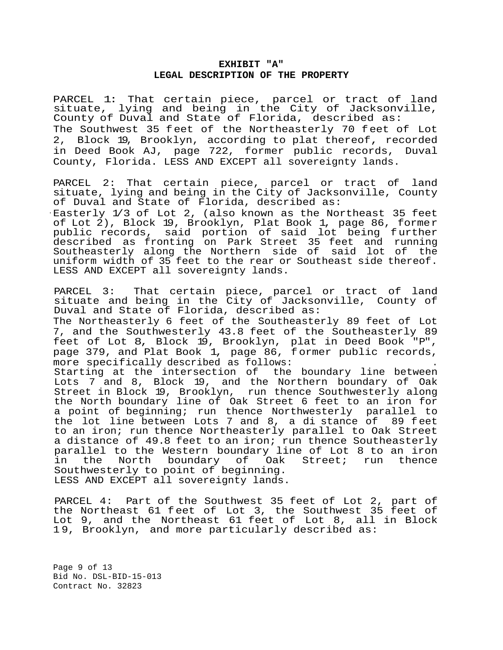# **EXHIBIT "A" LEGAL DESCRIPTION OF THE PROPERTY**

PARCEL 1: That certain piece, parcel or tract of land situate, lying and being in the City of Jacksonville, County of Duval and State of Florida, described as: The Southwest 35 feet of the Northeasterly 70 feet of Lot 2, Block 19, Brooklyn, according to plat thereof, recorded in Deed Book AJ, page 722, former public records, Duval County, Florida. LESS AND EXCEPT all sovereignty lands.

PARCEL 2: That certain piece, parcel or tract of land situate, lying and being in the City of Jacksonville, County of Duval and State of Florida, described as:

· Easterly 1/3 of Lot 2, (also known as the Northeast 35 feet of Lot 2), Block 19, Brooklyn, Plat Book 1, page 86, former public records, said portion of said lot being further described as fronting on Park Street 35 feet and running Southeasterly along the Northern side of said lot of the uniform width of 35 feet to the rear or Southeast side thereof. LESS AND EXCEPT all sovereignty lands.

PARCEL 3: That certain piece, parcel or tract of land situate and being in the City of Jacksonville, County of Duval and State of Florida, described as: The Northeasterly 6 feet of the Southeasterly 89 feet of Lot 7, and the Southwesterly 43.8 feet of the Southeasterly 89 feet of Lot 8, Block 19, Brooklyn, plat in Deed Book "P", page 379, and Plat Book 1, page 86, former public records, more specifically described as follows:

Starting at the intersection of the boundary line between Lots 7 and 8, Block 19, and the Northern boundary of Oak Street in Block 19, Brooklyn, run thence Southwesterly along the North boundary line of Oak Street 6 feet to an iron for a point of beginning; run thence Northwesterly parallel to the lot line between Lots 7 and 8, a di stance of 89 feet to an iron; run thence Northeasterly parallel to Oak Street a distance of 49.8 feet to an iron; run thence Southeasterly parallel to the Western boundary line of Lot 8 to an iron<br>in the North boundary of Oak Street; run thence the North boundary of Oak Southwesterly to point of beginning. LESS AND EXCEPT all sovereignty lands.

PARCEL 4: Part of the Southwest 35 feet of Lot 2, part of the Northeast 61 feet of Lot 3, the Southwest 35 feet of Lot 9, and the Northeast 61 feet of Lot 8, all in Block 1 9, Brooklyn, and more particularly described as:

Page 9 of 13 Bid No. DSL-BID-15-013 Contract No. 32823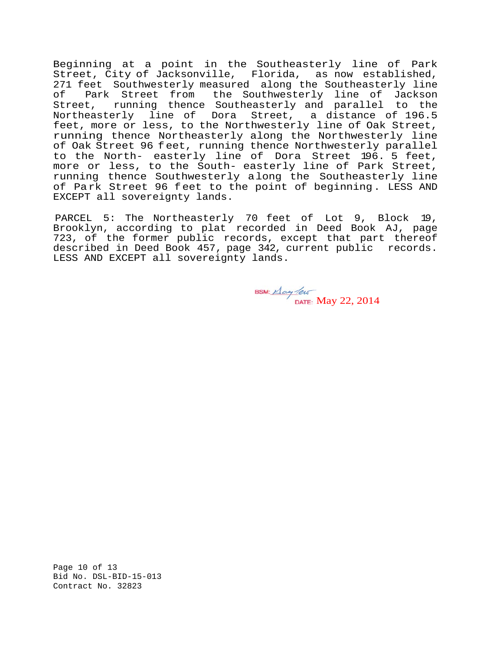Beginning at a point in the Southeasterly line of Park Street, City of Jacksonville, Florida, as now established, 271 feet Southwesterly measured along the Southeasterly line<br>of Park Street from the Southwesterly line of Jackson Park Street from the Southwesterly line of Jackson Street, running thence Southeasterly and parallel to the Northeasterly line of Dora Street, a distance of 196.5 feet, more or less, to the Northwesterly line of Oak Street, running thence Northeasterly along the Northwesterly line of Oak Street 96 feet, running thence Northwesterly parallel to the North- easterly line of Dora Street 196. 5 feet, more or less, to the South- easterly line of Park Street, running thence Southwesterly along the Southeasterly line of Park Street 96 feet to the point of beginning. LESS AND EXCEPT all sovereignty lands.

PARCEL 5: The Northeasterly 70 feet of Lot 9, Block 19, Brooklyn, according to plat recorded in Deed Book AJ, page 723, of the former public records, except that part thereof described in Deed Book 457, page 342, current public records. LESS AND EXCEPT all sovereignty lands.

BSM:  $\frac{\text{A} \text{cay}}{\text{DATE}}$ : May 22, 2014

Page 10 of 13 Bid No. DSL-BID-15-013 Contract No. 32823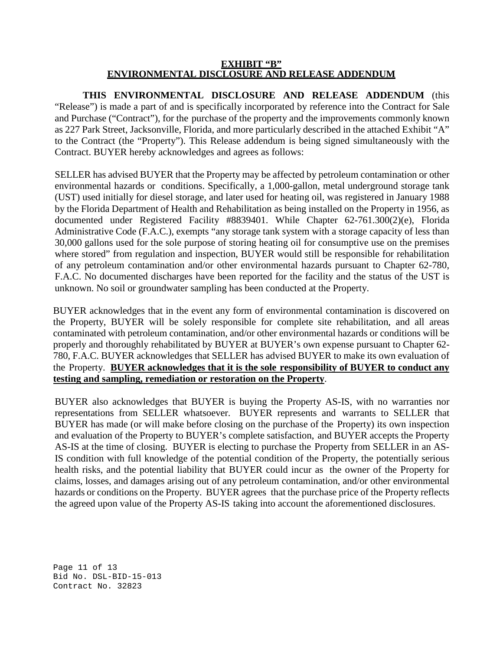# **EXHIBIT "B" ENVIRONMENTAL DISCLOSURE AND RELEASE ADDENDUM**

**THIS ENVIRONMENTAL DISCLOSURE AND RELEASE ADDENDUM** (this "Release") is made a part of and is specifically incorporated by reference into the Contract for Sale and Purchase ("Contract"), for the purchase of the property and the improvements commonly known as 227 Park Street, Jacksonville, Florida, and more particularly described in the attached Exhibit "A" to the Contract (the "Property"). This Release addendum is being signed simultaneously with the Contract. BUYER hereby acknowledges and agrees as follows:

SELLER has advised BUYER that the Property may be affected by petroleum contamination or other environmental hazards or conditions. Specifically, a 1,000-gallon, metal underground storage tank (UST) used initially for diesel storage, and later used for heating oil, was registered in January 1988 by the Florida Department of Health and Rehabilitation as being installed on the Property in 1956, as documented under Registered Facility #8839401. While Chapter 62-761.300(2)(e), Florida Administrative Code (F.A.C.), exempts "any storage tank system with a storage capacity of less than 30,000 gallons used for the sole purpose of storing heating oil for consumptive use on the premises where stored" from regulation and inspection, BUYER would still be responsible for rehabilitation of any petroleum contamination and/or other environmental hazards pursuant to Chapter 62-780, F.A.C. No documented discharges have been reported for the facility and the status of the UST is unknown. No soil or groundwater sampling has been conducted at the Property.

BUYER acknowledges that in the event any form of environmental contamination is discovered on the Property, BUYER will be solely responsible for complete site rehabilitation, and all areas contaminated with petroleum contamination, and/or other environmental hazards or conditions will be properly and thoroughly rehabilitated by BUYER at BUYER's own expense pursuant to Chapter 62- 780, F.A.C. BUYER acknowledges that SELLER has advised BUYER to make its own evaluation of the Property. **BUYER acknowledges that it is the sole responsibility of BUYER to conduct any testing and sampling, remediation or restoration on the Property**.

BUYER also acknowledges that BUYER is buying the Property AS-IS, with no warranties nor representations from SELLER whatsoever. BUYER represents and warrants to SELLER that BUYER has made (or will make before closing on the purchase of the Property) its own inspection and evaluation of the Property to BUYER's complete satisfaction, and BUYER accepts the Property AS-IS at the time of closing. BUYER is electing to purchase the Property from SELLER in an AS-IS condition with full knowledge of the potential condition of the Property, the potentially serious health risks, and the potential liability that BUYER could incur as the owner of the Property for claims, losses, and damages arising out of any petroleum contamination, and/or other environmental hazards or conditions on the Property. BUYER agrees that the purchase price of the Property reflects the agreed upon value of the Property AS-IS taking into account the aforementioned disclosures.

Page 11 of 13 Bid No. DSL-BID-15-013 Contract No. 32823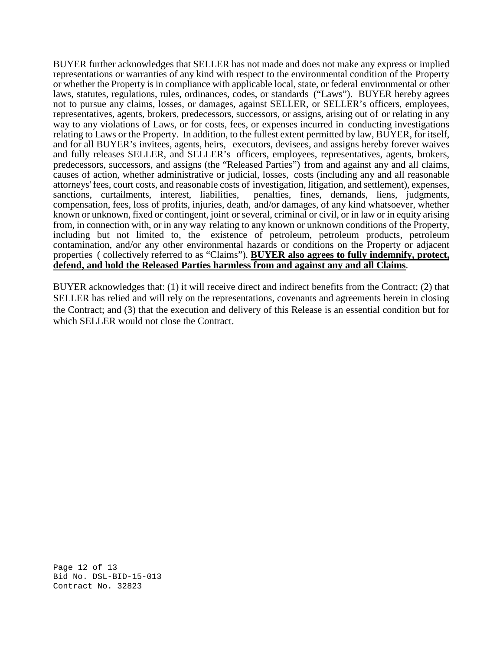BUYER further acknowledges that SELLER has not made and does not make any express or implied representations or warranties of any kind with respect to the environmental condition of the Property or whether the Property is in compliance with applicable local, state, or federal environmental or other laws, statutes, regulations, rules, ordinances, codes, or standards ("Laws"). BUYER hereby agrees not to pursue any claims, losses, or damages, against SELLER, or SELLER's officers, employees, representatives, agents, brokers, predecessors, successors, or assigns, arising out of or relating in any way to any violations of Laws, or for costs, fees, or expenses incurred in conducting investigations relating to Laws or the Property. In addition, to the fullest extent permitted by law, BUYER, for itself, and for all BUYER's invitees, agents, heirs, executors, devisees, and assigns hereby forever waives and fully releases SELLER, and SELLER's officers, employees, representatives, agents, brokers, predecessors, successors, and assigns (the "Released Parties") from and against any and all claims, causes of action, whether administrative or judicial, losses, costs (including any and all reasonable attorneys' fees, court costs, and reasonable costs of investigation, litigation, and settlement), expenses, penalties, fines, demands, liens, judgments, compensation, fees, loss of profits, injuries, death, and/or damages, of any kind whatsoever, whether known or unknown, fixed or contingent, joint or several, criminal or civil, or in law or in equity arising from, in connection with, or in any way relating to any known or unknown conditions of the Property, including but not limited to, the existence of petroleum, petroleum products, petroleum contamination, and/or any other environmental hazards or conditions on the Property or adjacent properties ( collectively referred to as "Claims"). **BUYER also agrees to fully indemnify, protect, defend, and hold the Released Parties harmless from and against any and all Claims**.

BUYER acknowledges that: (1) it will receive direct and indirect benefits from the Contract; (2) that SELLER has relied and will rely on the representations, covenants and agreements herein in closing the Contract; and (3) that the execution and delivery of this Release is an essential condition but for which SELLER would not close the Contract.

Page 12 of 13 Bid No. DSL-BID-15-013 Contract No. 32823